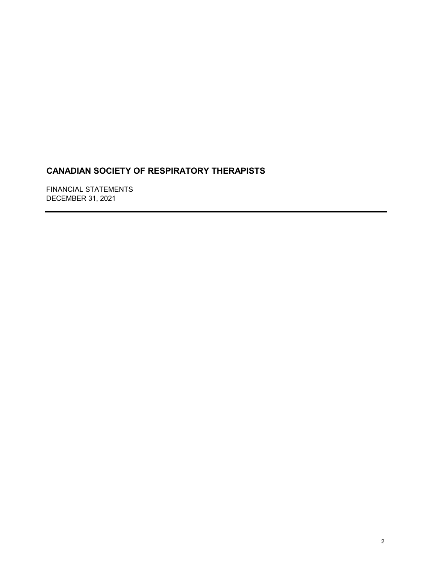FINANCIAL STATEMENTS DECEMBER 31, 2021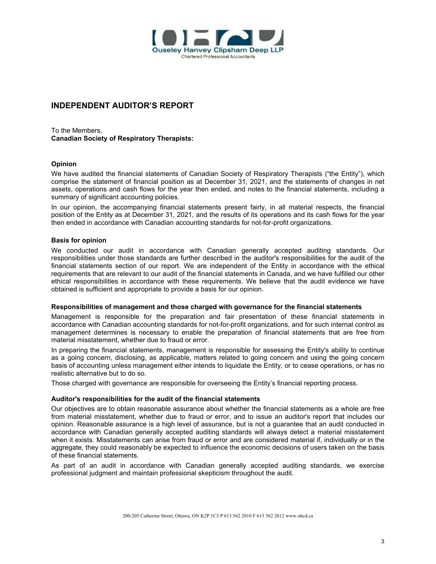

# **INDEPENDENT AUDITOR'S REPORT**

To the Members, **Canadian Society of Respiratory Therapists:**

# **Opinion**

We have audited the financial statements of Canadian Society of Respiratory Therapists ("the Entity"), which comprise the statement of financial position as at December 31, 2021, and the statements of changes in net assets, operations and cash flows for the year then ended, and notes to the financial statements, including a summary of significant accounting policies.

In our opinion, the accompanying financial statements present fairly, in all material respects, the financial position of the Entity as at December 31, 2021, and the results of its operations and its cash flows for the year then ended in accordance with Canadian accounting standards for not-for-profit organizations.

# **Basis for opinion**

We conducted our audit in accordance with Canadian generally accepted auditing standards. Our responsibilities under those standards are further described in the auditor's responsibilities for the audit of the financial statements section of our report. We are independent of the Entity in accordance with the ethical requirements that are relevant to our audit of the financial statements in Canada, and we have fulfilled our other ethical responsibilities in accordance with these requirements. We believe that the audit evidence we have obtained is sufficient and appropriate to provide a basis for our opinion.

# **Responsibilities of management and those charged with governance for the financial statements**

Management is responsible for the preparation and fair presentation of these financial statements in accordance with Canadian accounting standards for not-for-profit organizations, and for such internal control as management determines is necessary to enable the preparation of financial statements that are free from material misstatement, whether due to fraud or error.

In preparing the financial statements, management is responsible for assessing the Entity's ability to continue as a going concern, disclosing, as applicable, matters related to going concern and using the going concern basis of accounting unless management either intends to liquidate the Entity, or to cease operations, or has no realistic alternative but to do so.

Those charged with governance are responsible for overseeing the Entity's financial reporting process.

# **Auditor's responsibilities for the audit of the financial statements**

Our objectives are to obtain reasonable assurance about whether the financial statements as a whole are free from material misstatement, whether due to fraud or error, and to issue an auditor's report that includes our opinion. Reasonable assurance is a high level of assurance, but is not a guarantee that an audit conducted in accordance with Canadian generally accepted auditing standards will always detect a material misstatement when it exists. Misstatements can arise from fraud or error and are considered material if, individually or in the aggregate, they could reasonably be expected to influence the economic decisions of users taken on the basis of these financial statements.

As part of an audit in accordance with Canadian generally accepted auditing standards, we exercise professional judgment and maintain professional skepticism throughout the audit.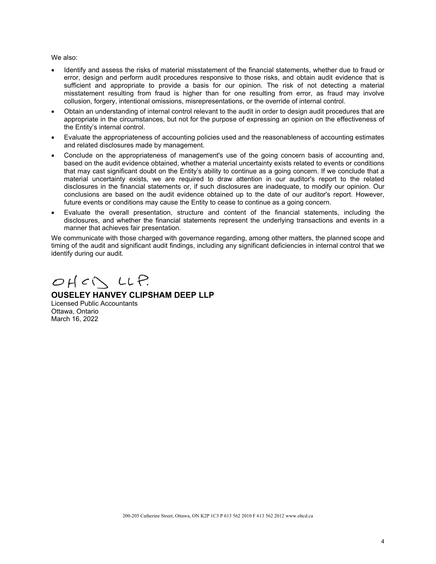We also:

- Identify and assess the risks of material misstatement of the financial statements, whether due to fraud or error, design and perform audit procedures responsive to those risks, and obtain audit evidence that is sufficient and appropriate to provide a basis for our opinion. The risk of not detecting a material misstatement resulting from fraud is higher than for one resulting from error, as fraud may involve collusion, forgery, intentional omissions, misrepresentations, or the override of internal control.
- Obtain an understanding of internal control relevant to the audit in order to design audit procedures that are appropriate in the circumstances, but not for the purpose of expressing an opinion on the effectiveness of the Entity's internal control.
- Evaluate the appropriateness of accounting policies used and the reasonableness of accounting estimates and related disclosures made by management.
- Conclude on the appropriateness of management's use of the going concern basis of accounting and, based on the audit evidence obtained, whether a material uncertainty exists related to events or conditions that may cast significant doubt on the Entity's ability to continue as a going concern. If we conclude that a material uncertainty exists, we are required to draw attention in our auditor's report to the related disclosures in the financial statements or, if such disclosures are inadequate, to modify our opinion. Our conclusions are based on the audit evidence obtained up to the date of our auditor's report. However, future events or conditions may cause the Entity to cease to continue as a going concern.
- Evaluate the overall presentation, structure and content of the financial statements, including the disclosures, and whether the financial statements represent the underlying transactions and events in a manner that achieves fair presentation.

We communicate with those charged with governance regarding, among other matters, the planned scope and timing of the audit and significant audit findings, including any significant deficiencies in internal control that we identify during our audit.

 $OHCN$  LLP.

# **OUSELEY HANVEY CLIPSHAM DEEP LLP** Licensed Public Accountants Ottawa, Ontario March 16, 2022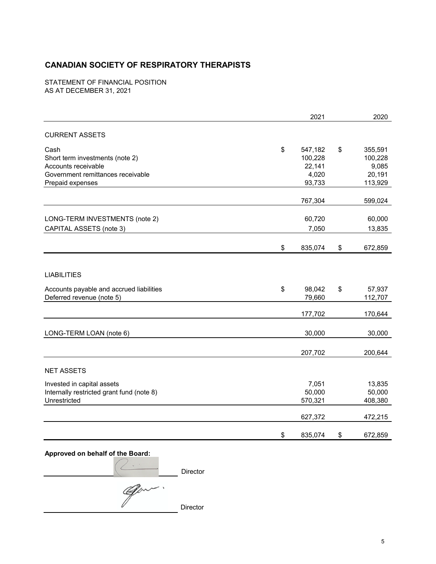STATEMENT OF FINANCIAL POSITION AS AT DECEMBER 31, 2021

|                                                                                                                         |                | 2021                                            | 2020                                                   |
|-------------------------------------------------------------------------------------------------------------------------|----------------|-------------------------------------------------|--------------------------------------------------------|
| <b>CURRENT ASSETS</b>                                                                                                   |                |                                                 |                                                        |
| Cash<br>Short term investments (note 2)<br>Accounts receivable<br>Government remittances receivable<br>Prepaid expenses | \$             | 547,182<br>100,228<br>22,141<br>4,020<br>93,733 | \$<br>355,591<br>100,228<br>9,085<br>20,191<br>113,929 |
|                                                                                                                         |                | 767,304                                         | 599,024                                                |
| LONG-TERM INVESTMENTS (note 2)<br>CAPITAL ASSETS (note 3)                                                               |                | 60,720<br>7,050                                 | 60,000<br>13,835                                       |
|                                                                                                                         | \$             | 835,074                                         | \$<br>672,859                                          |
| <b>LIABILITIES</b>                                                                                                      |                |                                                 |                                                        |
| Accounts payable and accrued liabilities<br>Deferred revenue (note 5)                                                   | $\$\$          | 98,042<br>79,660                                | \$<br>57,937<br>112,707                                |
|                                                                                                                         |                | 177,702                                         | 170,644                                                |
| LONG-TERM LOAN (note 6)                                                                                                 |                | 30,000                                          | 30,000                                                 |
|                                                                                                                         |                | 207,702                                         | 200,644                                                |
| <b>NET ASSETS</b>                                                                                                       |                |                                                 |                                                        |
| Invested in capital assets<br>Internally restricted grant fund (note 8)<br>Unrestricted                                 |                | 7,051<br>50,000<br>570,321                      | 13,835<br>50,000<br>408,380                            |
|                                                                                                                         |                | 627,372                                         | 472,215                                                |
|                                                                                                                         | $\mathfrak{S}$ | 835,074                                         | \$<br>672,859                                          |

| Approved on behalf of the Board: | Director |
|----------------------------------|----------|
| Comment,                         | Director |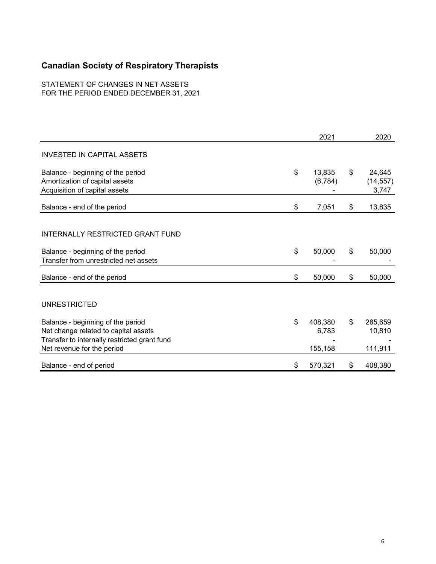# **Canadian Society of Respiratory Therapists**

STATEMENT OF CHANGES IN NET ASSETS FOR THE PERIOD ENDED DECEMBER 31, 2021

|                                                                                                                                                         | 2021                              | 2020                               |
|---------------------------------------------------------------------------------------------------------------------------------------------------------|-----------------------------------|------------------------------------|
| <b>INVESTED IN CAPITAL ASSETS</b>                                                                                                                       |                                   |                                    |
| Balance - beginning of the period<br>Amortization of capital assets<br>Acquisition of capital assets                                                    | \$<br>13,835<br>(6, 784)          | \$<br>24,645<br>(14, 557)<br>3,747 |
| Balance - end of the period                                                                                                                             | \$<br>7,051                       | \$<br>13,835                       |
| INTERNALLY RESTRICTED GRANT FUND<br>Balance - beginning of the period                                                                                   | \$<br>50,000                      | \$<br>50,000                       |
| Transfer from unrestricted net assets                                                                                                                   |                                   |                                    |
| Balance - end of the period                                                                                                                             | \$<br>50,000                      | \$<br>50,000                       |
| <b>UNRESTRICTED</b>                                                                                                                                     |                                   |                                    |
| Balance - beginning of the period<br>Net change related to capital assets<br>Transfer to internally restricted grant fund<br>Net revenue for the period | \$<br>408,380<br>6,783<br>155,158 | \$<br>285,659<br>10,810<br>111,911 |
| Balance - end of period                                                                                                                                 | \$<br>570,321                     | \$<br>408,380                      |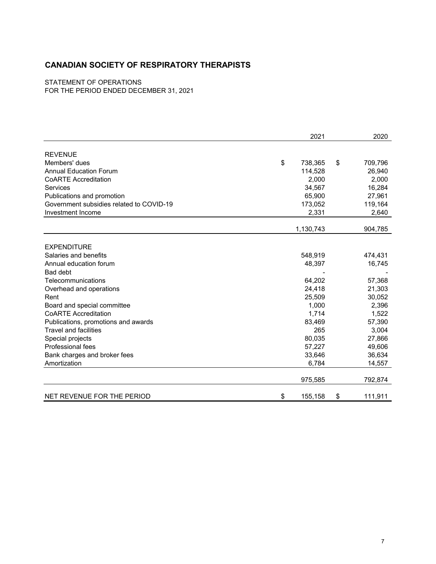STATEMENT OF OPERATIONS FOR THE PERIOD ENDED DECEMBER 31, 2021

|                                          | 2021          | 2020          |
|------------------------------------------|---------------|---------------|
|                                          |               |               |
| <b>REVENUE</b>                           |               |               |
| Members' dues                            | \$<br>738,365 | \$<br>709,796 |
| <b>Annual Education Forum</b>            | 114,528       | 26,940        |
| <b>CoARTE Accreditation</b>              | 2,000         | 2,000         |
| <b>Services</b>                          | 34,567        | 16,284        |
| Publications and promotion               | 65,900        | 27,961        |
| Government subsidies related to COVID-19 | 173,052       | 119,164       |
| Investment Income                        | 2,331         | 2,640         |
|                                          | 1,130,743     | 904,785       |
|                                          |               |               |
| <b>EXPENDITURE</b>                       |               |               |
| Salaries and benefits                    | 548,919       | 474,431       |
| Annual education forum                   | 48,397        | 16,745        |
| <b>Bad debt</b>                          |               |               |
| Telecommunications                       | 64,202        | 57,368        |
| Overhead and operations                  | 24,418        | 21,303        |
| Rent                                     | 25,509        | 30,052        |
| Board and special committee              | 1,000         | 2,396         |
| <b>CoARTE Accreditation</b>              | 1,714         | 1,522         |
| Publications, promotions and awards      | 83,469        | 57,390        |
| <b>Travel and facilities</b>             | 265           | 3,004         |
| Special projects                         | 80,035        | 27,866        |
| Professional fees                        | 57,227        | 49,606        |
| Bank charges and broker fees             | 33,646        | 36,634        |
| Amortization                             | 6,784         | 14,557        |
|                                          | 975,585       | 792,874       |
| NET REVENUE FOR THE PERIOD               | \$<br>155,158 | \$<br>111,911 |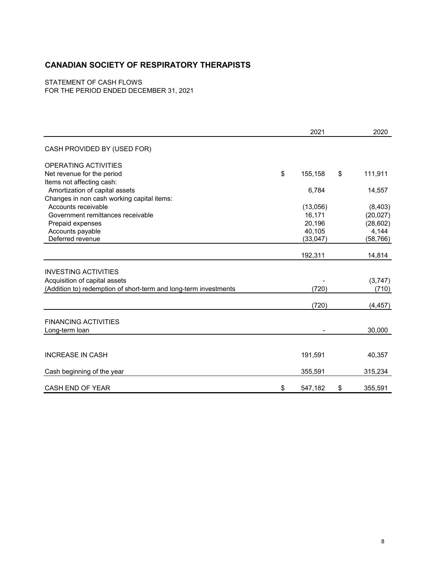STATEMENT OF CASH FLOWS FOR THE PERIOD ENDED DECEMBER 31, 2021

|                                                                  | 2021          | 2020          |
|------------------------------------------------------------------|---------------|---------------|
| CASH PROVIDED BY (USED FOR)                                      |               |               |
| <b>OPERATING ACTIVITIES</b>                                      |               |               |
| Net revenue for the period                                       | \$<br>155,158 | \$<br>111,911 |
| Items not affecting cash:                                        |               |               |
| Amortization of capital assets                                   | 6,784         | 14,557        |
| Changes in non cash working capital items:                       |               |               |
| Accounts receivable                                              | (13,056)      | (8,403)       |
| Government remittances receivable                                | 16,171        | (20, 027)     |
| Prepaid expenses                                                 | 20,196        | (28, 602)     |
| Accounts payable                                                 | 40,105        | 4,144         |
| Deferred revenue                                                 | (33, 047)     | (58, 766)     |
|                                                                  | 192,311       | 14,814        |
| <b>INVESTING ACTIVITIES</b>                                      |               |               |
| Acquisition of capital assets                                    |               | (3,747)       |
| (Addition to) redemption of short-term and long-term investments | (720)         | (710)         |
|                                                                  | (720)         | (4, 457)      |
| <b>FINANCING ACTIVITIES</b>                                      |               |               |
| Long-term loan                                                   |               | 30,000        |
|                                                                  |               |               |
| <b>INCREASE IN CASH</b>                                          | 191,591       | 40,357        |
| Cash beginning of the year                                       | 355,591       | 315,234       |
| CASH END OF YEAR                                                 | \$<br>547,182 | \$<br>355,591 |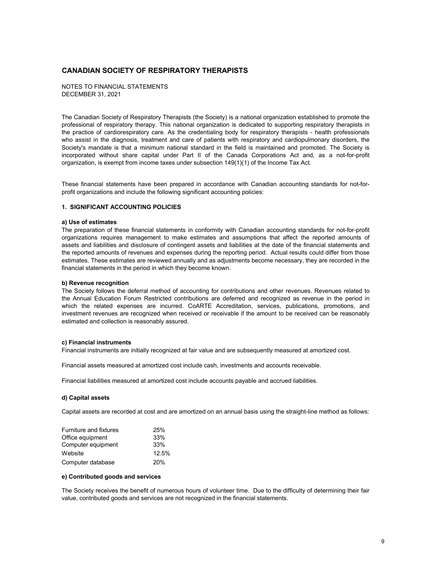NOTES TO FINANCIAL STATEMENTS DECEMBER 31, 2021

The Canadian Society of Respiratory Therapists (the Society) is a national organization established to promote the professional of respiratory therapy. This national organization is dedicated to supporting respiratory therapists in the practice of cardiorespiratory care. As the credentialing body for respiratory therapists - health professionals who assist in the diagnosis, treatment and care of patients with respiratory and cardiopulmonary disorders, the Society's mandate is that a minimum national standard in the field is maintained and promoted. The Society is incorporated without share capital under Part II of the Canada Corporations Act and, as a not-for-profit organization, is exempt from income taxes under subsection 149(1)(1) of the Income Tax Act.

These financial statements have been prepared in accordance with Canadian accounting standards for not-forprofit organizations and include the following significant accounting policies:

### **1. SIGNIFICANT ACCOUNTING POLICIES**

### **a) Use of estimates**

The preparation of these financial statements in conformity with Canadian accounting standards for not-for-profit organizations requires management to make estimates and assumptions that affect the reported amounts of assets and liabilities and disclosure of contingent assets and liabilities at the date of the financial statements and the reported amounts of revenues and expenses during the reporting period. Actual results could differ from those estimates. These estimates are reviewed annually and as adjustments become necessary, they are recorded in the financial statements in the period in which they become known.

#### **b) Revenue recognition**

The Society follows the deferral method of accounting for contributions and other revenues. Revenues related to the Annual Education Forum Restricted contributions are deferred and recognized as revenue in the period in which the related expenses are incurred. CoARTE Accreditation, services, publications, promotions, and investment revenues are recognized when received or receivable if the amount to be received can be reasonably estimated and collection is reasonably assured.

#### **c) Financial instruments**

Financial instruments are initially recognized at fair value and are subsequently measured at amortized cost.

Financial assets measured at amortized cost include cash, investments and accounts receivable.

Financial liabilities measured at amortized cost include accounts payable and accrued liabilities.

#### **d) Capital assets**

Capital assets are recorded at cost and are amortized on an annual basis using the straight-line method as follows:

| <b>Furniture and fixtures</b> | 25%   |
|-------------------------------|-------|
| Office equipment              | 33%   |
| Computer equipment            | 33%   |
| Website                       | 12.5% |
| Computer database             | 20%   |

#### **e) Contributed goods and services**

The Society receives the benefit of numerous hours of volunteer time. Due to the difficulty of determining their fair value, contributed goods and services are not recognized in the financial statements.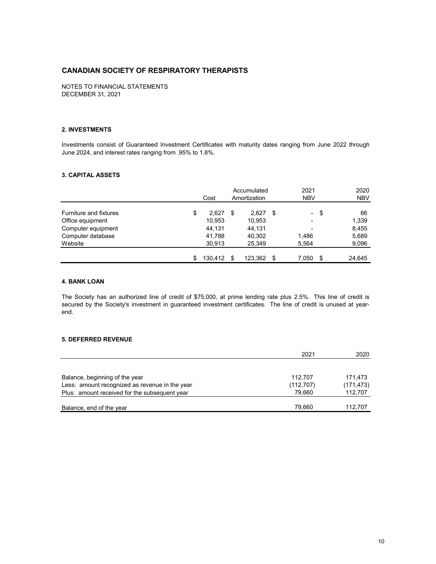NOTES TO FINANCIAL STATEMENTS DECEMBER 31, 2021

## **2. INVESTMENTS**

Investments consist of Guaranteed Investment Certificates with maturity dates ranging from June 2022 through June 2024, and interest rates ranging from .95% to 1.8%.

### **3. CAPITAL ASSETS**

|                               | Cost          |     | Accumulated<br>Amortization |     | 2021<br><b>NBV</b> | 2020<br><b>NBV</b> |
|-------------------------------|---------------|-----|-----------------------------|-----|--------------------|--------------------|
| <b>Furniture and fixtures</b> | \$<br>2,627   | \$. | 2,627                       | \$. | $\sim$             | \$<br>66           |
| Office equipment              | 10,953        |     | 10,953                      |     | ٠                  | 1,339              |
| Computer equipment            | 44.131        |     | 44,131                      |     | -                  | 8,455              |
| Computer database             | 41.788        |     | 40,302                      |     | 1,486              | 5,689              |
| Website                       | 30,913        |     | 25,349                      |     | 5,564              | 9,096              |
|                               | \$<br>130.412 | £.  | 123,362                     | \$. | 7.050              | \$<br>24,645       |

# **4. BANK LOAN**

The Society has an authorized line of credit of \$75,000, at prime lending rate plus 2.5%. This line of credit is secured by the Society's investment in guaranteed investment certificates. The line of credit is unused at yearend.

# **5. DEFERRED REVENUE**

|                                                | 2021       | 2020       |
|------------------------------------------------|------------|------------|
|                                                |            |            |
| Balance, beginning of the year                 | 112.707    | 171,473    |
| Less: amount recognized as revenue in the year | (112, 707) | (171, 473) |
| Plus: amount received for the subsequent year  | 79.660     | 112,707    |
|                                                |            |            |
| Balance, end of the year                       | 79.660     | 112,707    |